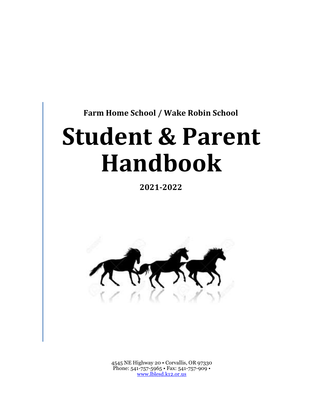**Farm Home School / Wake Robin School** 

# **Student & Parent Handbook**

**2021-2022** 



4545 NE Highway 20 • Corvallis, OR 97330 Phone: 541-757-5965 • Fax: 541-757-909 • www.lblesd.k12.or.us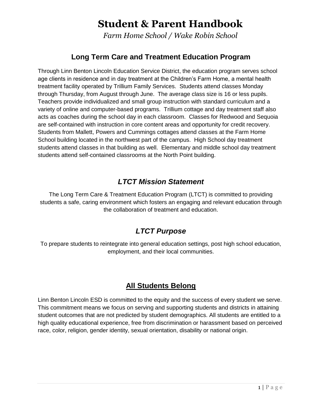*Farm Home School / Wake Robin School* 

## **Long Term Care and Treatment Education Program**

 Through Linn Benton Lincoln Education Service District, the education program serves school age clients in residence and in day treatment at the Children's Farm Home, a mental health treatment facility operated by Trillium Family Services. Students attend classes Monday through Thursday, from August through June. The average class size is 16 or less pupils. Teachers provide individualized and small group instruction with standard curriculum and a variety of online and computer-based programs. Trillium cottage and day treatment staff also acts as coaches during the school day in each classroom. Classes for Redwood and Sequoia are self-contained with instruction in core content areas and opportunity for credit recovery. Students from Mallett, Powers and Cummings cottages attend classes at the Farm Home School building located in the northwest part of the campus. High School day treatment students attend classes in that building as well. Elementary and middle school day treatment students attend self-contained classrooms at the North Point building.

# *LTCT Mission Statement*

 The Long Term Care & Treatment Education Program (LTCT) is committed to providing students a safe, caring environment which fosters an engaging and relevant education through the collaboration of treatment and education.

## *LTCT Purpose*

 To prepare students to reintegrate into general education settings, post high school education, employment, and their local communities.

## **All Students Belong**

 Linn Benton Lincoln ESD is committed to the equity and the success of every student we serve. This commitment means we focus on serving and supporting students and districts in attaining student outcomes that are not predicted by student demographics. All students are entitled to a high quality educational experience, free from discrimination or harassment based on perceived race, color, religion, gender identity, sexual orientation, disability or national origin.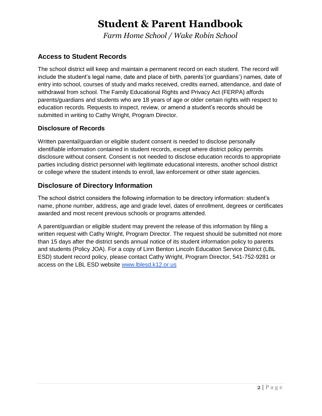*Farm Home School / Wake Robin School* 

#### **Access to Student Records**

 The school district will keep and maintain a permanent record on each student. The record will include the student's legal name, date and place of birth, parents'(or guardians') names, date of entry into school, courses of study and marks received, credits earned, attendance, and date of withdrawal from school. The Family Educational Rights and Privacy Act (FERPA) affords parents/guardians and students who are 18 years of age or older certain rights with respect to education records. Requests to inspect, review, or amend a student's records should be submitted in writing to Cathy Wright, Program Director.

#### **Disclosure of Records**

 Written parental/guardian or eligible student consent is needed to disclose personally identifiable information contained in student records, except where district policy permits disclosure without consent. Consent is not needed to disclose education records to appropriate parties including district personnel with legitimate educational interests, another school district or college where the student intends to enroll, law enforcement or other state agencies.

#### **Disclosure of Directory Information**

 The school district considers the following information to be directory information: student's name, phone number, address, age and grade level, dates of enrollment, degrees or certificates awarded and most recent previous schools or programs attended.

 A parent/guardian or eligible student may prevent the release of this information by filing a written request with Cathy Wright, Program Director. The request should be submitted not more than 15 days after the district sends annual notice of its student information policy to parents and students (Policy JOA). For a copy of Linn Benton Lincoln Education Service District (LBL ESD) student record policy, please contact Cathy Wright, Program Director, 541-752-9281 or access on the LBL ESD website www.lblesd.k12.or.us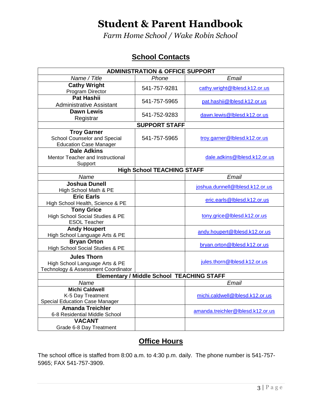*Farm Home School / Wake Robin School* 

# **School Contacts**

| <b>ADMINISTRATION &amp; OFFICE SUPPORT</b>                                                  |                                   |                                   |  |  |  |  |  |  |
|---------------------------------------------------------------------------------------------|-----------------------------------|-----------------------------------|--|--|--|--|--|--|
| Name / Title                                                                                | Phone                             | Email                             |  |  |  |  |  |  |
| <b>Cathy Wright</b><br>Program Director                                                     | 541-757-9281                      | cathy.wright@lblesd.k12.or.us     |  |  |  |  |  |  |
| <b>Pat Hashii</b><br><b>Administrative Assistant</b>                                        | 541-757-5965                      | pat.hashii@lblesd.k12.or.us       |  |  |  |  |  |  |
| <b>Dawn Lewis</b><br>Registrar                                                              | 541-752-9283                      | dawn.lewis@lblesd.k12.or.us       |  |  |  |  |  |  |
|                                                                                             | <b>SUPPORT STAFF</b>              |                                   |  |  |  |  |  |  |
| <b>Troy Garner</b><br><b>School Counselor and Special</b><br><b>Education Case Manager</b>  | 541-757-5965                      | troy.garner@lblesd.k12.or.us      |  |  |  |  |  |  |
| <b>Dale Adkins</b><br>Mentor Teacher and Instructional<br>Support                           |                                   | dale.adkins@lblesd.k12.or.us      |  |  |  |  |  |  |
|                                                                                             | <b>High School TEACHING STAFF</b> |                                   |  |  |  |  |  |  |
| Name                                                                                        |                                   | Email                             |  |  |  |  |  |  |
| <b>Joshua Dunell</b><br>High School Math & PE                                               |                                   | joshua.dunnell@lblesd.k12.or.us   |  |  |  |  |  |  |
| <b>Eric Earls</b><br>High School Health, Science & PE                                       |                                   | eric.earls@lblesd.k12.or.us       |  |  |  |  |  |  |
| <b>Tony Grice</b><br>High School Social Studies & PE<br><b>ESOL Teacher</b>                 |                                   | tony.grice@lblesd.k12.or.us       |  |  |  |  |  |  |
| <b>Andy Houpert</b><br>High School Language Arts & PE                                       |                                   | andy.houpert@lblesd.k12.or.us     |  |  |  |  |  |  |
| <b>Bryan Orton</b><br>High School Social Studies & PE                                       |                                   | bryan.orton@lblesd.k12.or.us      |  |  |  |  |  |  |
| <b>Jules Thorn</b><br>High School Language Arts & PE<br>Technology & Assessment Coordinator |                                   | jules.thorn@lblesd.k12.or.us      |  |  |  |  |  |  |
| <b>Elementary / Middle School TEACHING STAFF</b>                                            |                                   |                                   |  |  |  |  |  |  |
| Name                                                                                        |                                   | Email                             |  |  |  |  |  |  |
| <b>Michi Caldwell</b><br>K-5 Day Treatment<br><b>Special Education Case Manager</b>         |                                   | michi.caldwell@lblesd.k12.or.us   |  |  |  |  |  |  |
| <b>Amanda Treichler</b><br>6-8 Residential Middle School                                    |                                   | amanda.treichler@lblesd.k12.or.us |  |  |  |  |  |  |
| <b>VACANT</b><br>Grade 6-8 Day Treatment                                                    |                                   |                                   |  |  |  |  |  |  |

### **Office Hours**

 The school office is staffed from 8:00 a.m. to 4:30 p.m. daily. The phone number is 541-757- 5965; FAX 541-757-3909.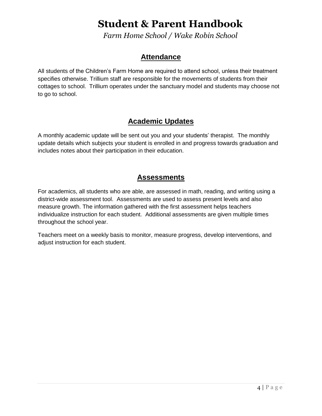*Farm Home School / Wake Robin School* 

### **Attendance**

 All students of the Children's Farm Home are required to attend school, unless their treatment specifies otherwise. Trillium staff are responsible for the movements of students from their cottages to school. Trillium operates under the sanctuary model and students may choose not to go to school.

## **Academic Updates**

 A monthly academic update will be sent out you and your students' therapist. The monthly update details which subjects your student is enrolled in and progress towards graduation and includes notes about their participation in their education.

### **Assessments**

 For academics, all students who are able, are assessed in math, reading, and writing using a district-wide assessment tool. Assessments are used to assess present levels and also measure growth. The information gathered with the first assessment helps teachers individualize instruction for each student. Additional assessments are given multiple times throughout the school year.

 Teachers meet on a weekly basis to monitor, measure progress, develop interventions, and adjust instruction for each student.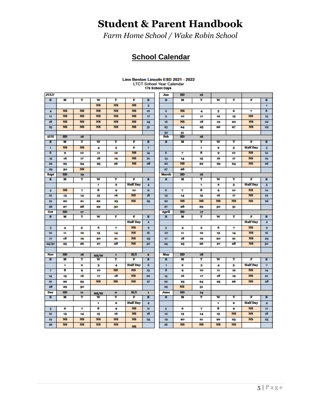*Farm Home School / Wake Robin School* 

# **School Calendar**

#### Linn Benton Lincoln ESD 2021 - 2022 **LTCT School Year Calendar<br>176 School Days**

| <b>JULY</b>  |                         |                 |                         |              |                 |                | Jan          | <b>SD</b>               | 16             |                         |           |                 |                         |
|--------------|-------------------------|-----------------|-------------------------|--------------|-----------------|----------------|--------------|-------------------------|----------------|-------------------------|-----------|-----------------|-------------------------|
| 8            | M                       | т               | w                       | т            | F               | s              | s            | M                       | т              | w                       | т         | F               | s                       |
|              |                         |                 | <b>NS</b>               | <b>NS</b>    | NS              | 3              |              |                         |                |                         |           |                 | $\mathbf{1}$            |
| 4            | NS                      | NS              | <b>NS</b>               | <b>NS</b>    | NS              | 10             | 2            | NS <sub>1</sub>         | 4              | 5                       | 6         | 7               | 8                       |
| $\mathbf{u}$ | NS <sub>1</sub>         | NS <sub>1</sub> | <b>NS</b>               | <b>NS</b>    | NS              | 17             | 9            | 10                      | 11             | 12                      | 13        | <b>NS</b>       | 15                      |
| 18           | NS <sub>1</sub>         | NS              | <b>NS</b>               | <b>NS</b>    | NS              | 24             | 16           | NS <sub></sub>          | 18             | 19                      | 20        | NS              | 22                      |
| 25           | <b>NS</b>               | <b>NS</b>       | NS                      | NS           | NS              | 31             | 23           | 24                      | 25             | 26                      | 27        | <b>NS</b>       | 29                      |
|              |                         |                 |                         |              |                 |                | 30           | 31                      |                |                         |           |                 |                         |
| <b>AUG</b>   | <b>SD</b>               | 16              |                         |              |                 |                | Feb          | <b>SD</b>               | 16             |                         |           |                 |                         |
| s            | M                       | т               | w                       | т            | F               | s              | s            | M                       | т              | w                       | т         | F               | s                       |
| ı            | NS.                     | NS              | 4                       | 5            | 6               | 7              |              |                         | 1              | 2                       | 3         | <b>Half</b> Day | 5                       |
| 8            | 9                       | 10              | 11                      | 12           | <b>NS</b>       | 14             | 6            | 7                       | 8              | 9                       | 10        | <b>NS</b>       | 12                      |
| 15           | 16                      | 17              | 18                      | 19           | NS              | 21             | 13           | 14                      | 15             | 16                      | 17        | NS.             | 19                      |
| 空            | 23                      | 24              | 25                      | 26           | NS              | 28             | 20           | <b>NS</b>               | 22             | 23                      | 24        | <b>NS</b>       | 26                      |
| 29           | 30                      | NS <sub>1</sub> |                         |              |                 |                | 27           | 28                      |                |                         |           |                 |                         |
| <b>Sept</b>  | SD                      | 19              |                         |              |                 |                | <b>March</b> | <b>SD</b>               | 16             |                         |           |                 |                         |
| s            | $\overline{\mathbf{M}}$ | Ŧ               | $\overline{\mathbf{w}}$ | Ŧ            | F               | s              | s            | $\overline{\mathbf{M}}$ | Ŧ              | $\overline{\mathbf{w}}$ | Ŧ         | F               | s                       |
|              |                         |                 | ı                       | s.           | <b>Half</b> Day | 4              |              |                         | 1              | 2                       | з         | <b>Half</b> Day | $\overline{\mathbf{5}}$ |
| 5            | NS.                     | 7               | 8                       | 9            | 10              | $\mathbf{u}$   | 6            | 7                       | 8              | 9                       | 10        | NS.             | 12                      |
| 12           | 13                      | 14              | 15                      | 16           | NS.             | 18             | 13           | 14                      | 15             | 16                      | 17        | <b>NS</b>       | 19                      |
| 19           | 20                      | 21              | 22                      | 23           | <b>NS</b>       | 25             | 20           | NS <sub></sub>          | NS <sub></sub> | NS <sub></sub>          | <b>NS</b> | <b>NS</b>       | 26                      |
| 26           | 27                      | 28              | 29                      | 30           |                 |                | 27           | 28                      | 29             | 30                      | 31        |                 |                         |
|              |                         |                 |                         |              |                 |                |              |                         |                |                         |           |                 |                         |
| 0et          | SD                      | 17              |                         |              |                 |                | April        | <b>SD</b>               | 17             |                         |           |                 |                         |
| 8            | M                       | Ŧ               | w                       | т            | F               | s              | s            | M                       | Ŧ              | w                       | т         | F               | s                       |
|              |                         |                 |                         |              | <b>Half</b> Day | ż.             |              |                         |                |                         |           | <b>Half</b> Day | ż.                      |
| 3            | 4                       | 5               | 6                       | 7            | NS <sub></sub>  | 9              | $\mathbf{3}$ | 4                       | 5              | 6                       | 7         | <b>NS</b>       | $\mathbf{9}$            |
| 10           | 11                      | 12              | 13                      | 14           | <b>NS</b>       | 16             | 10           | 11                      | 12             | 13                      | 14        | <b>NS</b>       | 16                      |
| 17           | 18                      | 19              | 20                      | 21           | <b>NS</b>       | 23             | 17           | 18                      | 19             | 20                      | 21        | <b>NS</b>       | 23                      |
| 24/30        | 25                      | 26              | 27                      | 28           | NS <sup>1</sup> | 30             | 24           | 25                      | 26             | 27                      | 28        | <b>NS</b>       | 30                      |
|              |                         |                 |                         |              |                 |                |              |                         |                |                         |           |                 |                         |
| Nov          | <b>SD</b>               | 16              | NS/W                    | $\mathbf{1}$ | H/I             | 2              | May          | <b>SD</b>               | 18             |                         |           |                 |                         |
| s            | M                       | т               | w                       | т            | F               | s              | s            | M                       | т              | w                       | т         | F               | s                       |
|              | $\mathbf{r}$            | 2               | 3                       | 4            | <b>Half</b> Day | 6              | $\mathbf{1}$ | 2                       | 3              | 4                       | 5         | <b>Half</b> Day | $\overline{7}$          |
| 7            | 8                       | 9               | 10                      | NS           | NS              | 13             | 8            | 9                       | 10             | n                       | 12        | NS              | 14                      |
| 14           | 15                      | 16              | 17                      | 18           | NS.             | 20             | 15           | 16                      | 17             | 18                      | 19        | <b>NS</b>       | 21                      |
| 21           | 22                      | 23              | <b>NS</b>               | <b>NS</b>    | <b>NS</b>       | 27             | 22           | 23                      | 24             | 25                      | 26        | <b>NS</b>       | 28                      |
| 28           | 29                      | 30              |                         |              |                 |                | 29           | <b>NS</b>               | 31             |                         |           |                 |                         |
| Dee          | <b>SD</b>               | 11              | NS/W                    | $\bullet$    | H/I             | $\blacksquare$ | June         | <b>SD</b>               | 14             |                         |           |                 |                         |
| s            | M                       | т               | w                       | т            | F               | s              | s            | M                       | T              | w                       | т         | F               | s                       |
|              |                         |                 | 1                       | s.           | <b>Half</b> Day | 4              |              |                         |                | 1                       | 2         | <b>Half</b> Day | 4                       |
| 5            | 6                       | 7               | 8                       | 9            | NS              | $\mathbf n$    | 5            | 6                       | 7              | 8                       | 9         | <b>NS</b>       | $\mathbf{11}$           |
| 12           | 13                      | 14              | 15                      | 16           | NS              | 18             | 12           | 13                      | 14             | 15                      | <b>NS</b> | <b>NS</b>       | 18                      |
| 19           | NS                      | NS <sub>1</sub> | <b>NS</b>               | <b>NS</b>    | NS.             | 25             | 19           | 20                      | 21             | 22                      | 23        | <b>NS</b>       | 25                      |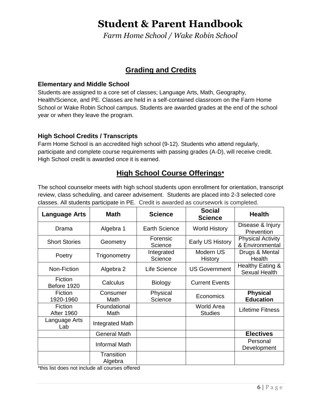*Farm Home School / Wake Robin School* 

### **Grading and Credits**

#### **Elementary and Middle School**

 Students are assigned to a core set of classes; Language Arts, Math, Geography, Health/Science, and PE. Classes are held in a self-contained classroom on the Farm Home School or Wake Robin School campus. Students are awarded grades at the end of the school year or when they leave the program.

#### **High School Credits / Transcripts**

 Farm Home School is an accredited high school (9-12). Students who attend regularly, participate and complete course requirements with passing grades (A-D), will receive credit. High School credit is awarded once it is earned.

### **High School Course Offerings\***

 The school counselor meets with high school students upon enrollment for orientation, transcript review, class scheduling, and career advisement. Students are placed into 2-3 selected core classes. All students participate in PE. Credit is awarded as coursework is completed.

| <b>Math</b><br>Language Arts |                       | <b>Science</b>        | <b>Social</b><br><b>Science</b>     | <b>Health</b>                               |  |
|------------------------------|-----------------------|-----------------------|-------------------------------------|---------------------------------------------|--|
| Drama                        | Algebra 1             | <b>Earth Science</b>  | <b>World History</b>                | Disease & Injury<br>Prevention              |  |
| <b>Short Stories</b>         | Geometry              | Forensic<br>Science   | Early US History                    | <b>Physical Activity</b><br>& Environmental |  |
| Poetry                       | Trigonometry          | Integrated<br>Science | Modern US<br>History                | Drugs & Mental<br>Health                    |  |
| Non-Fiction                  | Algebra 2             | Life Science          | <b>US Government</b>                | Healthy Eating &<br><b>Sexual Health</b>    |  |
| Fiction<br>Before 1920       | Calculus              | <b>Biology</b>        | <b>Current Events</b>               |                                             |  |
| Fiction<br>1920-1960         | Consumer<br>Math      | Physical<br>Science   | Economics                           | <b>Physical</b><br><b>Education</b>         |  |
| Fiction<br><b>After 1960</b> | Foundational<br>Math  |                       | <b>World Area</b><br><b>Studies</b> | <b>Lifetime Fitness</b>                     |  |
| Language Arts<br>Lab         | Integrated Math       |                       |                                     |                                             |  |
|                              | <b>General Math</b>   |                       |                                     | <b>Electives</b>                            |  |
|                              | Informal Math         |                       |                                     | Personal<br>Development                     |  |
|                              | Transition<br>Algebra |                       |                                     |                                             |  |

\*this list does not include all courses offered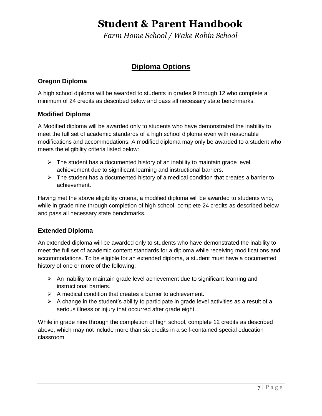*Farm Home School / Wake Robin School* 

### **Diploma Options**

#### **Oregon Diploma**

 A high school diploma will be awarded to students in grades 9 through 12 who complete a minimum of 24 credits as described below and pass all necessary state benchmarks.

#### **Modified Diploma**

 A Modified diploma will be awarded only to students who have demonstrated the inability to meet the full set of academic standards of a high school diploma even with reasonable modifications and accommodations. A modified diploma may only be awarded to a student who meets the eligibility criteria listed below:

- $\triangleright$  The student has a documented history of an inability to maintain grade level achievement due to significant learning and instructional barriers.
- $\triangleright$  The student has a documented history of a medical condition that creates a barrier to achievement.

achievement.<br>Having met the above eligibility criteria, a modified diploma will be awarded to students who, while in grade nine through completion of high school, complete 24 credits as described below and pass all necessary state benchmarks.

#### **Extended Diploma**

 An extended diploma will be awarded only to students who have demonstrated the inability to meet the full set of academic content standards for a diploma while receiving modifications and accommodations. To be eligible for an extended diploma, a student must have a documented history of one or more of the following:

- $\triangleright$  An inability to maintain grade level achievement due to significant learning and instructional barriers.
- $\triangleright$  A medical condition that creates a barrier to achievement.
- $\triangleright$  A change in the student's ability to participate in grade level activities as a result of a serious illness or injury that occurred after grade eight.

 While in grade nine through the completion of high school, complete 12 credits as described above, which may not include more than six credits in a self-contained special education classroom.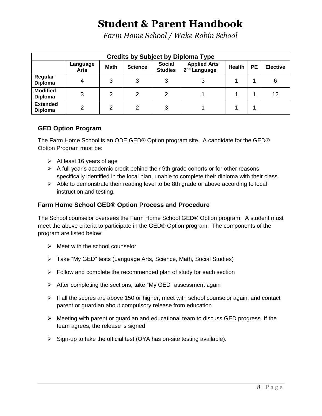*Farm Home School / Wake Robin School* 

| <b>Credits by Subject by Diploma Type</b> |                         |             |                |                                 |                                                 |               |           |                 |  |
|-------------------------------------------|-------------------------|-------------|----------------|---------------------------------|-------------------------------------------------|---------------|-----------|-----------------|--|
|                                           | Language<br><b>Arts</b> | <b>Math</b> | <b>Science</b> | <b>Social</b><br><b>Studies</b> | <b>Applied Arts</b><br>2 <sup>nd</sup> Language | <b>Health</b> | <b>PE</b> | <b>Elective</b> |  |
| Regular<br><b>Diploma</b>                 | 4                       | 3           | 3              |                                 | 3                                               |               |           | 6               |  |
| <b>Modified</b><br><b>Diploma</b>         | 3                       | 2           | 2              | 2                               |                                                 |               |           | 12              |  |
| <b>Extended</b><br><b>Diploma</b>         | 2                       | 2           | っ              | 3                               |                                                 |               |           |                 |  |

#### **GED Option Program**

 The Farm Home School is an ODE GED® Option program site. A candidate for the GED® Option Program must be:

- $\triangleright$  At least 16 years of age
- $\triangleright$  A full year's academic credit behind their 9th grade cohorts or for other reasons specifically identified in the local plan, unable to complete their diploma with their class.
- $\triangleright$  Able to demonstrate their reading level to be 8th grade or above according to local instruction and testing.

#### **Farm Home School GED® Option Process and Procedure**

 The School counselor oversees the Farm Home School GED® Option program. A student must meet the above criteria to participate in the GED® Option program. The components of the program are listed below:

- $\triangleright$  Meet with the school counselor
- Take "My GED" tests (Language Arts, Science, Math, Social Studies)
- $\triangleright$  Follow and complete the recommended plan of study for each section
- After completing the sections, take "My GED" assessment again
- $\triangleright$  If all the scores are above 150 or higher, meet with school counselor again, and contact parent or guardian about compulsory release from education
- $\triangleright$  Meeting with parent or guardian and educational team to discuss GED progress. If the team agrees, the release is signed.
- $\triangleright$  Sign-up to take the official test (OYA has on-site testing available).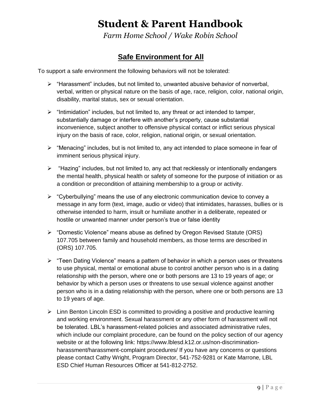*Farm Home School / Wake Robin School* 

# **Safe Environment for All**

To support a safe environment the following behaviors will not be tolerated:

- "Harassment" includes, but not limited to, unwanted abusive behavior of nonverbal, verbal, written or physical nature on the basis of age, race, religion, color, national origin, disability, marital status, sex or sexual orientation.
- $\triangleright$  "Intimidation" includes, but not limited to, any threat or act intended to tamper, substantially damage or interfere with another's property, cause substantial inconvenience, subject another to offensive physical contact or inflict serious physical injury on the basis of race, color, religion, national origin, or sexual orientation.
- $\triangleright$  "Menacing" includes, but is not limited to, any act intended to place someone in fear of imminent serious physical injury.
- $\triangleright$  "Hazing" includes, but not limited to, any act that recklessly or intentionally endangers the mental health, physical health or safety of someone for the purpose of initiation or as a condition or precondition of attaining membership to a group or activity.
- $\triangleright$  "Cyberbullying" means the use of any electronic communication device to convey a message in any form (text, image, audio or video) that intimidates, harasses, bullies or is otherwise intended to harm, insult or humiliate another in a deliberate, repeated or hostile or unwanted manner under person's true or false identity
- "Domestic Violence" means abuse as defined by Oregon Revised Statute (ORS) 107.705 between family and household members, as those terms are described in (ORS) 107.705.
- **≻** "Teen Dating Violence" means a pattern of behavior in which a person uses or threatens to use physical, mental or emotional abuse to control another person who is in a dating relationship with the person, where one or both persons are 13 to 19 years of age; or behavior by which a person uses or threatens to use sexual violence against another person who is in a dating relationship with the person, where one or both persons are 13 to 19 years of age.
- $\triangleright$  Linn Benton Lincoln ESD is committed to providing a positive and productive learning and working environment. Sexual harassment or any other form of harassment will not be tolerated. LBL's harassment-related policies and associated administrative rules, which include our complaint procedure, can be found on the policy section of our agency website or at the following link: https://www.lblesd.k12.or.us/non-discrimination- harassment/harassment-complaint procedures/ If you have any concerns or questions please contact Cathy Wright, Program Director, 541-752-9281 or Kate Marrone, LBL ESD Chief Human Resources Officer at 541-812-2752.